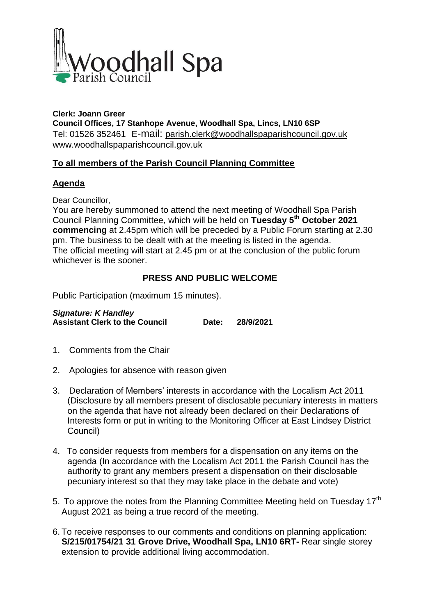

**Clerk: Joann Greer Council Offices, 17 Stanhope Avenue, Woodhall Spa, Lincs, LN10 6SP** Tel: 01526 352461 E-mail: parish.clerk@woodhallspaparishcouncil.gov.uk www.woodhallspaparishcouncil.gov.uk

## **To all members of the Parish Council Planning Committee**

## **Agenda**

Dear Councillor,

You are hereby summoned to attend the next meeting of Woodhall Spa Parish Council Planning Committee, which will be held on **Tuesday 5 th October 2021 commencing** at 2.45pm which will be preceded by a Public Forum starting at 2.30 pm. The business to be dealt with at the meeting is listed in the agenda. The official meeting will start at 2.45 pm or at the conclusion of the public forum whichever is the sooner.

# **PRESS AND PUBLIC WELCOME**

Public Participation (maximum 15 minutes).

*Signature: K Handley* **Assistant Clerk to the Council Date: 28/9/2021**

- 1. Comments from the Chair
- 2. Apologies for absence with reason given
- 3. Declaration of Members' interests in accordance with the Localism Act 2011 (Disclosure by all members present of disclosable pecuniary interests in matters on the agenda that have not already been declared on their Declarations of Interests form or put in writing to the Monitoring Officer at East Lindsey District Council)
- 4. To consider requests from members for a dispensation on any items on the agenda (In accordance with the Localism Act 2011 the Parish Council has the authority to grant any members present a dispensation on their disclosable pecuniary interest so that they may take place in the debate and vote)
- 5. To approve the notes from the Planning Committee Meeting held on Tuesday 17<sup>th</sup> August 2021 as being a true record of the meeting.
- 6. To receive responses to our comments and conditions on planning application: **S/215/01754/21 31 Grove Drive, Woodhall Spa, LN10 6RT-** Rear single storey extension to provide additional living accommodation.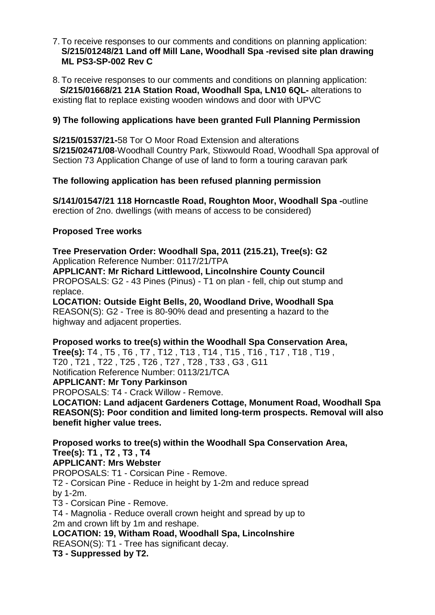7. To receive responses to our comments and conditions on planning application: **S/215/01248/21 Land off Mill Lane, Woodhall Spa -revised site plan drawing ML PS3-SP-002 Rev C**

8. To receive responses to our comments and conditions on planning application:  **S/215/01668/21 21A Station Road, Woodhall Spa, LN10 6QL-** alterations to existing flat to replace existing wooden windows and door with UPVC

### **9) The following applications have been granted Full Planning Permission**

**S/215/01537/21-**58 Tor O Moor Road Extension and alterations **S/215/02471/08**-Woodhall Country Park, Stixwould Road, Woodhall Spa approval of Section 73 Application Change of use of land to form a touring caravan park

#### **The following application has been refused planning permission**

**S/141/01547/21 118 Horncastle Road, Roughton Moor, Woodhall Spa -**outline erection of 2no. dwellings (with means of access to be considered)

#### **Proposed Tree works**

**Tree Preservation Order: Woodhall Spa, 2011 (215.21), Tree(s): G2** Application Reference Number: 0117/21/TPA

**APPLICANT: Mr Richard Littlewood, Lincolnshire County Council** PROPOSALS: G2 - 43 Pines (Pinus) - T1 on plan - fell, chip out stump and replace.

**LOCATION: Outside Eight Bells, 20, Woodland Drive, Woodhall Spa** REASON(S): G2 - Tree is 80-90% dead and presenting a hazard to the highway and adjacent properties.

**Proposed works to tree(s) within the Woodhall Spa Conservation Area, Tree(s):** T4 , T5 , T6 , T7 , T12 , T13 , T14 , T15 , T16 , T17 , T18 , T19 , T20 , T21 , T22 , T25 , T26 , T27 , T28 , T33 , G3 , G11 Notification Reference Number: 0113/21/TCA

**APPLICANT: Mr Tony Parkinson**

PROPOSALS: T4 - Crack Willow - Remove.

**LOCATION: Land adjacent Gardeners Cottage, Monument Road, Woodhall Spa REASON(S): Poor condition and limited long-term prospects. Removal will also benefit higher value trees.**

**Proposed works to tree(s) within the Woodhall Spa Conservation Area, Tree(s): T1 , T2 , T3 , T4**

# **APPLICANT: Mrs Webster**

PROPOSALS: T1 - Corsican Pine - Remove. T2 - Corsican Pine - Reduce in height by 1-2m and reduce spread by 1-2m. T3 - Corsican Pine - Remove.

T4 - Magnolia - Reduce overall crown height and spread by up to 2m and crown lift by 1m and reshape.

**LOCATION: 19, Witham Road, Woodhall Spa, Lincolnshire** REASON(S): T1 - Tree has significant decay.

**T3 - Suppressed by T2.**